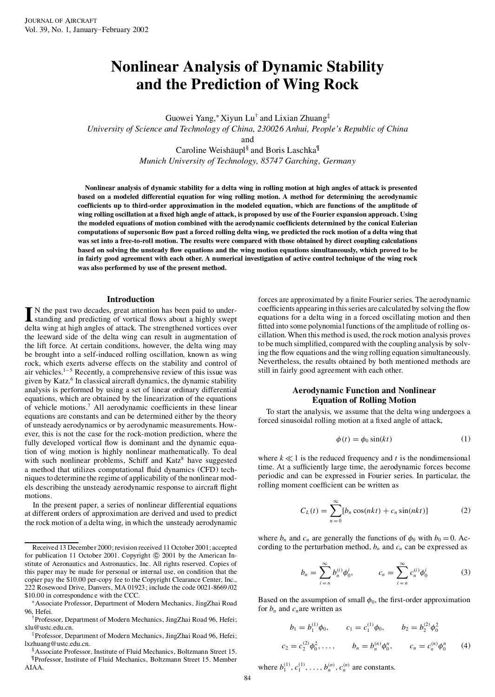# **Nonlinear Analysis of Dynamic Stability and the Prediction of Wing Rock**

Guowei Yang,¤ Xiyun Lu† and Lixian Zhuang ‡ *University of Science and Technology of China, 230026 Anhui, People's Republic of China* and Caroline Weishäupl<sup>§</sup> and Boris Laschka<sup>¶</sup>

*Munich University of Technology, 85747 Garching, Germany*

Nonlinear analysis of dynamic stability for a delta wing in rolling motion at high angles of attack is presented **based on a modeled differential equation for wing rolling motion. A method for determining the aerodynamic** coefficients up to third-order approximation in the modeled equation, which are functions of the amplitude of wing rolling oscillation at a fixed high angle of attack, is proposed by use of the Fourier expansion approach. Using **the modeled equations of motion combined with the aerodynamic coef cients determined by the conical Eulerian** computations of supersonic flow past a forced rolling delta wing, we predicted the rock motion of a delta wing that was set into a free-to-roll motion. The results were compared with those obtained by direct coupling calculations based on solving the unsteady flow equations and the wing motion equations simultaneously, which proved to be in fairly good agreement with each other. A numerical investigation of active control technique of the wing rock **was also performed by use of the present method.**

### **Introduction**

In the past two decades, great attention has been paid to under-<br>standing and predicting of vortical flows about a highly swept standing and predicting of vortical flows about a highly swept delta wing at high angles of attack. The strengthened vortices over the leeward side of the delta wing can result in augmentation of the lift force. At certain conditions, however, the delta wing may be brought into a self-induced rolling oscillation, known as wing rock, which exerts adverse effects on the stability and control of air vehicles.<sup>1-5</sup> Recently, a comprehensive review of this issue was given by Katz.<sup>6</sup> In classical aircraft dynamics, the dynamic stability analysis is performed by using a set of linear ordinary differential equations, which are obtained by the linearization of the equations of vehicle motions.<sup>7</sup> All aerodynamic coefficients in these linear equations are constants and can be determined either by the theory of unsteady aerodynamics or by aerodynamic measurements. How ever, this is not the case for the rock-motion prediction, where the fully developed vortical flow is dominant and the dynamic equation of wing motion is highly nonlinear mathematically. To deal with such nonlinear problems, Schiff and Katz <sup>8</sup> have suggested a method that utilizes computational fluid dynamics (CFD) techniquesto determine the regime of applicability of the nonlinearmod els describing the unsteady aerodynamic response to aircraft flight motions.

In the present paper, a series of nonlinear differential equations at different orders of approximation are derived and used to predict the rock motion of a delta wing, in which the unsteady aerodynamic forces are approximated by a finite Fourier series. The aerodynamic coefficients appearing in this series are calculated by solving the flow equations for a delta wing in a forced oscillating motion and then fitted into some polynomial functions of the amplitude of rolling oscillation. When this method is used, the rock motion analysis proves to be much simplified, compared with the coupling analysis by solving the flow equations and the wing rolling equation simultaneously. Nevertheless, the results obtained by both mentioned methods are still in fairly good agreement with each other.

# **Aerodynamic Function and Nonlinear Equation of Rolling Motion**

To start the analysis, we assume that the delta wing undergoes a forced sinusoidal rolling motion at a fixed angle of attack,

$$
\phi(t) = \phi_0 \sin(kt) \tag{1}
$$

where  $k \ll 1$  is the reduced frequency and  $t$  is the nondimensional time. At a sufficiently large time, the aerodynamic forces become periodic and can be expressed in Fourier series. In particular, the rolling moment coefficient can be written as

$$
C_L(t) = \sum_{n=0}^{\infty} [b_n \cos(nkt) + c_n \sin(nkt)] \tag{2}
$$

where  $b_n$  and  $c_n$  are generally the functions of  $\phi_0$  with  $b_0 = 0$ . According to the perturbation method,  $b_n$  and  $c_n$  can be expressed as

$$
b_n = \sum_{i=n}^{\infty} b_n^{(i)} \phi_0^i, \qquad c_n = \sum_{i=n}^{\infty} c_n^{(i)} \phi_0^i \qquad (3)
$$

Based on the assumption of small  $\phi_0$ , the first-order approximation for  $b_n$  and  $c_n$  are written as

$$
b_1 = b_1^{(1)} \phi_0, \qquad c_1 = c_1^{(1)} \phi_0, \qquad b_2 = b_2^{(2)} \phi_0^2
$$
  
=  $c_2^{(2)} \phi_0^2, \ldots, \qquad b_n = b_n^{(n)} \phi_0^n, \qquad c_n = c_n^{(n)} \phi_0^n$  (4)

where  $b_1^{(1)}$ ,  $c_1^{(1)}$ , ...,  $b_n^{(n)}$ ,  $c_n^{(n)}$  are constants.

 $c<sub>2</sub>$ 

Received 13 December 2000;revision received 11 October 2001; accepted for publication 11 October 2001. Copyright © 2001 by the American Institute of Aeronautics and Astronautics, Inc. All rights reserved. Copies of this paper may be made for personal or internal use, on condition that the copier pay the \$10.00 per-copy fee to the Copyright Clearance Center, Inc., 222 Rosewood Drive, Danvers, MA 01923; include the code 0021-8669 /02 \$10.00 in correspondenc e with the CCC.

<sup>¤</sup>Associate Professor, Department of Modern Mechanics, JingZhai Road 96, Hefei.

<sup>†</sup>Professor, Department of Modern Mechanics, JingZhai Road 96, Hefei; xlu@ustc.edu.cn.

<sup>‡</sup>Professor, Department of Modern Mechanics, JingZhai Road 96, Hefei; lxzhuang@ustc.edu.cn.

<sup>§</sup>Associate Professor, Institute of Fluid Mechanics, Boltzmann Street 15. ¶Professor, Institute of Fluid Mechanics, Boltzmann Street 15. Member AIAA.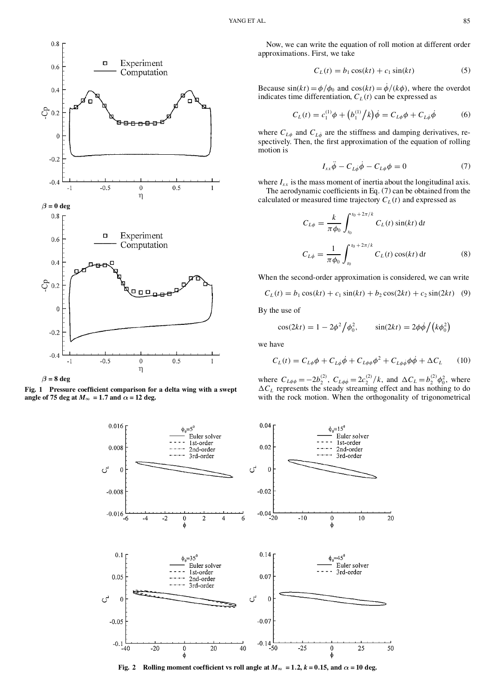

 $\beta = 8$  **deg** 

**Fig. 1 Pressure coef cient comparison for a delta wing with a swept angle** of 75 deg at  $M_{\infty} = 1.7$  and  $\alpha = 12$  deg.

Now, we can write the equation of roll motion at different order approximations. First, we take

$$
C_L(t) = b_1 \cos(kt) + c_1 \sin(kt) \tag{5}
$$

Because  $\sin(kt) = \phi/\phi_0$  and  $\cos(kt) = \dot{\phi}/(k\phi)$ , where the overdot indicates time differentiation,  $C_L(t)$  can be expressed as

$$
C_L(t) = c_1^{(1)}\phi + (b_1^{(1)}/k)\dot{\phi} = C_{L\phi}\phi + C_{L\dot{\phi}}\dot{\phi}
$$
 (6)

where  $C_{L\phi}$  and  $C_{L\phi}$  are the stiffness and damping derivatives, respectively. Then, the first approximation of the equation of rolling motion is

$$
I_{xx}\ddot{\phi} - C_{L\phi}\dot{\phi} - C_{L\phi}\phi = 0 \tag{7}
$$

where  $I_{xx}$  is the mass moment of inertia about the longitudinal axis. The aerodynamic coefficients in Eq.  $(7)$  can be obtained from the calculated or measured time trajectory  $C_L(t)$  and expressed as

$$
C_{L\phi} = \frac{k}{\pi \phi_0} \int_{t_0}^{t_0 + 2\pi/k} C_L(t) \sin(kt) dt
$$
  

$$
C_{L\phi} = \frac{1}{\pi \phi_0} \int_{t_0}^{t_0 + 2\pi/k} C_L(t) \cos(kt) dt
$$
 (8)

When the second-order approximation is considered, we can write

$$
C_L(t) = b_1 \cos(kt) + c_1 \sin(kt) + b_2 \cos(2kt) + c_2 \sin(2kt) \quad (9)
$$

By the use of

$$
\cos(2kt) = 1 - 2\phi^2 / \phi_0^2, \qquad \sin(2kt) = 2\phi\dot{\phi} / (k\phi_0^2)
$$

we have

$$
C_L(t) = C_{L\phi}\phi + C_{L\phi}\dot{\phi} + C_{L\phi\phi}\phi^2 + C_{L\phi\dot{\phi}}\phi\dot{\phi} + \Delta C_L \qquad (10)
$$

where  $C_{L\phi\phi} = -2b_2^{(2)}$ ,  $C_{L\phi\phi} = 2c_2^{(2)}/k$ , and  $\Delta C_L = b_2^{(2)}\phi_0^2$ , where  $\Delta C_L$  represents the steady streaming effect and has nothing to do with the rock motion. When the orthogonality of trigonometrical



Fig. 2 Rolling moment coefficient vs roll angle at  $M_{\infty} = 1.2$ ,  $k = 0.15$ , and  $\alpha = 10$  deg.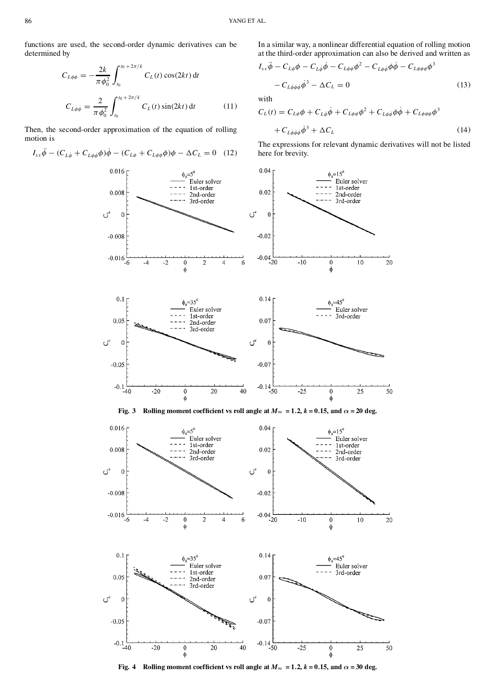functions are used, the second-order dynamic derivatives can be determined by

$$
C_{L\phi\phi} = -\frac{2k}{\pi \phi_0^2} \int_{t_0}^{t_0 + 2\pi/k} C_L(t) \cos(2kt) dt
$$
  

$$
C_{L\phi\phi} = \frac{2}{\pi \phi_0^2} \int_{t_0}^{t_0 + 2\pi/k} C_L(t) \sin(2kt) dt
$$
 (11)

Then, the second-order approximation of the equation of rolling motion is

 $I_{xx}\ddot{\phi} - (C_{L\dot{\phi}} + C_{L\phi\dot{\phi}}\phi)\dot{\phi} - (C_{L\phi} + C_{L\phi\phi}\phi)\phi - \Delta C_L = 0$  (12)

In a similar way, a nonlinear differential equation of rolling motion at the third-order approximation can also be derived and written as  $\overline{3}$ 

$$
I_{xx}\ddot{\phi} - C_{L\phi}\phi - C_{L\dot{\phi}}\dot{\phi} - C_{L\phi\phi}\phi^2 - C_{L\phi\dot{\phi}}\phi\dot{\phi} - C_{L\phi\phi\phi}\phi^3
$$
  

$$
- C_{L\dot{\phi}\dot{\phi}\dot{\phi}}\dot{\phi}^3 - \Delta C_L = 0
$$
 (13)

with

$$
C_L(t) = C_{L\phi}\phi + C_{L\dot{\phi}}\dot{\phi} + C_{L\phi\phi}\phi^2 + C_{L\phi\dot{\phi}}\phi\dot{\phi} + C_{L\phi\phi\phi}\phi^3
$$

$$
+ C_{L\dot{\phi}\dot{\phi}\dot{\phi}}\dot{\phi}^3 + \Delta C_L
$$
(14)

The expressions for relevant dynamic derivatives will not be listed here for brevity.



Fig. 4 Rolling moment coefficient vs roll angle at  $M_{\infty} = 1.2$ ,  $k = 0.15$ , and  $\alpha = 30$  deg.

 $\phi$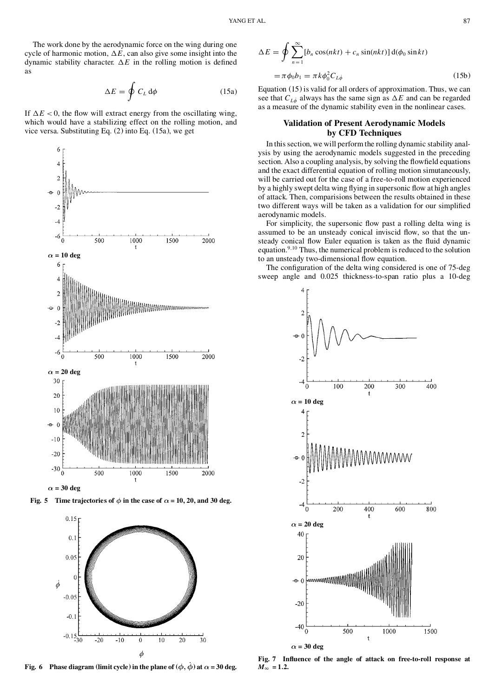$$
\Delta E = \oint C_L \, \mathrm{d}\phi \tag{15a}
$$

If  $\Delta E < 0$ , the flow will extract energy from the oscillating wing, which would have a stabilizing effect on the rolling motion, and vice versa. Substituting Eq. (2) into Eq. (15a), we get



**Fig. 5 Time trajectories of**  $\phi$  **in** the case of  $\alpha = 10, 20,$  and 30 deg.



**Fig. 6 Phase diagram** (limit cycle) in the plane of  $(\phi, \phi)$  at  $\alpha = 30$  deg.

$$
\Delta E = \oint \sum_{n=1}^{\infty} [b_n \cos(nkt) + c_n \sin(nkt)] \, d(\phi_0 \sin kt)
$$
  
=  $\pi \phi_0 b_1 = \pi k \phi_0^2 C_{L\phi}$  (15b)

Equation (15) is valid for all orders of approximation. Thus, we can see that  $C_{L\phi}$  always has the same sign as  $\Delta E$  and can be regarded as a measure of the dynamic stability even in the nonlinear cases.

# **Validation of Present Aerodynamic Models by CFD Techniques**

In thissection, we will perform the rolling dynamic stability anal ysis by using the aerodynamic models suggested in the preceding section. Also a coupling analysis, by solving the flowfield equations and the exact differential equation of rolling motion simutaneously, will be carried out for the case of a free-to-roll motion experienced by a highly swept delta wing flying in supersonic flow at high angles of attack. Then, comparisions between the results obtained in these two different ways will be taken as a validation for our simplified aerodynamic models.

For simplicity, the supersonic flow past a rolling delta wing is assumed to be an unsteady conical inviscid flow, so that the unsteady conical flow Euler equation is taken as the fluid dynamic equation.<sup>9,10</sup> Thus, the numerical problem is reduced to the solution to an unsteady two-dimensional flow equation.

The configuration of the delta wing considered is one of 75-deg sweep angle and 0.025 thickness-to-span ratio plus a 10-deg



**Fig. 7 In uence of the angle of attack on free-to-roll response at**  $M_{\infty} = 1.2$ .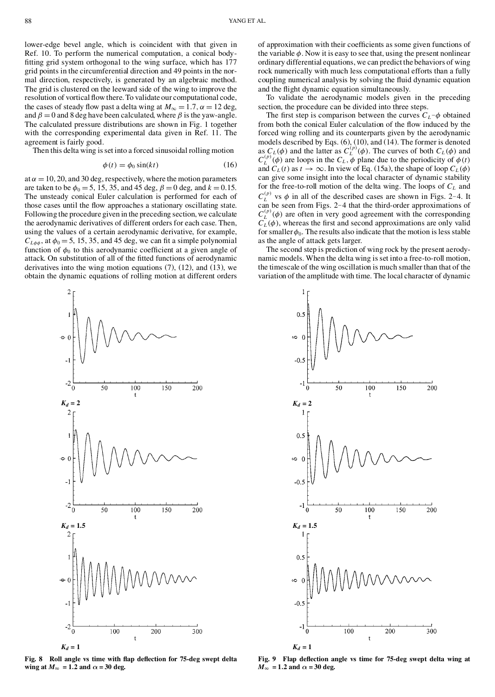lower-edge bevel angle, which is coincident with that given in Ref. 10. To perform the numerical computation, a conical body fitting grid system orthogonal to the wing surface, which has 177 grid points in the circumferential direction and 49 points in the nor mal direction, respectively, is generated by an algebraic method. The grid is clustered on the leeward side of the wing to improve the resolution of vortical flow there. To validate our computational code, the cases of steady flow past a delta wing at  $M_{\infty} = 1.7$ ,  $\alpha = 12$  deg, and  $\beta = 0$  and 8 deg have been calculated, where  $\beta$  is the yaw-angle. The calculated pressure distributions are shown in Fig. 1 together with the corresponding experimental data given in Ref. 11. The agreement is fairly good.

Then this delta wing isset into a forced sinusoidal rolling motion

$$
\phi(t) = \phi_0 \sin(kt) \tag{16}
$$

at  $\alpha = 10, 20$ , and 30 deg, respectively, where the motion parameters are taken to be  $\phi_0 = 5$ , 15, 35, and 45 deg,  $\beta = 0$  deg, and  $k = 0.15$ . The unsteady conical Euler calculation is performed for each of those cases until the flow approaches a stationary oscillating state. Following the procedure given in the preceding section, we calculate the aerodynamic derivatives of different orders for each case. Then, using the values of a certain aerodynamic derivative, for example,  $C_{L\phi\phi}$ , at  $\phi_0 = 5$ , 15, 35, and 45 deg, we can fit a simple polynomial function of  $\phi_0$  to this aerodynamic coefficient at a given angle of attack. On substitution of all of the fitted functions of aerodynamic derivatives into the wing motion equations  $(7)$ ,  $(12)$ , and  $(13)$ , we obtain the dynamic equations of rolling motion at different orders



**Fig. 8 Roll angle vs time with ap de ection for 75-deg swept delta wing** at  $M_{\infty} = 1.2$  and  $\alpha = 30$  deg.

of approximation with their coefficients as some given functions of the variable  $\phi$ . Now it is easy to see that, using the present nonlinear ordinary differential equations, we can predict the behaviors of wing rock numerically with much less computational efforts than a fully coupling numerical analysis by solving the fluid dynamic equation and the flight dynamic equation simultaneously.

To validate the aerodynamic models given in the preceding section, the procedure can be divided into three steps.

The first step is comparison between the curves  $C_L$  – $\phi$  obtained from both the conical Euler calculation of the flow induced by the forced wing rolling and its counterparts given by the aerodynamic models described by Eqs. (6), (10), and (14). The former is denoted as  $C_L(\phi)$  and the latter as  $C_L^{(p)}(\phi)$ . The curves of both  $C_L(\phi)$  and  $C_L^{(p)}(\phi)$  are loops in the  $C_L$ ,  $\phi$  plane due to the periodicity of  $\phi(t)$ and  $C_L(t)$  as  $t \to \infty$ . In view of Eq. (15a), the shape of loop  $C_L(\phi)$  can give some insight into the local character of dynamic stability for the free-to-roll motion of the delta wing. The loops of *C<sup>L</sup>* and  $C^{(p)}_L$  vs can be seen from Figs. 2–4 that the third-order approximations of  $C_L^{(p)}(\phi)$  are often in very good agreement with the corresponding  $\tilde{C}_L(\phi)$ , whereas the first and second approximations are only valid for smaller  $\phi_0$ . The results also indicate that the motion is less stable as the angle of attack gets larger.

The second step is prediction of wing rock by the present aerody namic models. When the delta wing is set into a free-to-roll motion, the timescale of the wing oscillation is much smaller than that of the variation of the amplitude with time. The local character of dynamic



**Fig. 9 Flap de ection angle vs time for 75-deg swept delta wing at**  $M_{\infty}$  = 1.2 and  $\alpha$  = 30 deg.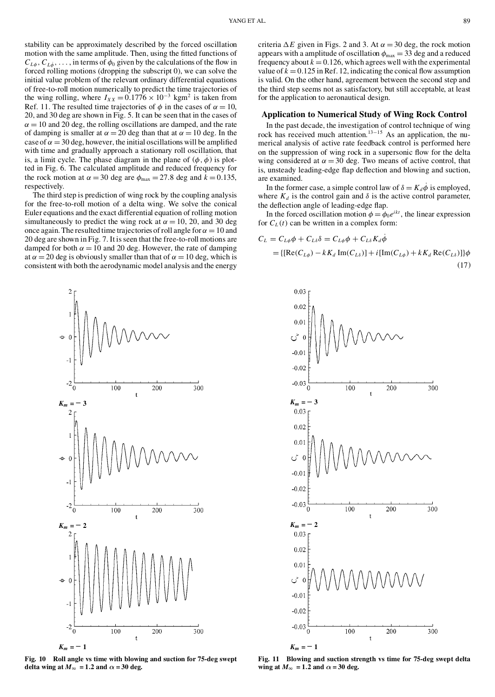stability can be approximately described by the forced oscillation motion with the same amplitude. Then, using the fitted functions of  $C_{L\phi}$ ,  $C_{L\dot{\phi}}$ ,  $\ldots$ , in terms of  $\phi_0$  given by the calculations of the flow in forced rolling motions (dropping the subscript 0), we can solve the initial value problem of the relevant ordinary differential equations of free-to-roll motion numerically to predict the time trajectories of the wing rolling, where  $I_{XX} = 0.1776 \times 10^{-3}$  kgm<sup>2</sup> is taken from Ref. 11. The resulted time trajectories of  $\phi$  in the cases of  $\alpha = 10$ , 20, and 30 deg are shown in Fig. 5. It can be seen that in the cases of  $\alpha = 10$  and 20 deg, the rolling oscillations are damped, and the rate of damping is smaller at  $\alpha = 20$  deg than that at  $\alpha = 10$  deg. In the case of  $\alpha = 30$  deg, however, the initial oscillations will be amplified with time and gradually approach a stationary roll oscillation, that is, a limit cycle. The phase diagram in the plane of  $(\phi, \dot{\phi})$  is plotted in Fig. 6. The calculated amplitude and reduced frequency for the rock motion at  $\alpha = 30$  deg are  $\phi_{\text{max}} = 27.8$  deg and  $k = 0.135$ , respectively.

The third step is prediction of wing rock by the coupling analysis for the free-to-roll motion of a delta wing. We solve the conical Euler equations and the exact differential equation of rolling motion simultaneously to predict the wing rock at  $\alpha = 10$ , 20, and 30 deg once again. The resulted time trajectories of roll angle for  $\alpha = 10$  and 20 deg are shown in Fig. 7. It isseen that the free-to-roll motions are damped for both  $\alpha = 10$  and 20 deg. However, the rate of damping at  $\alpha = 20$  deg is obviously smaller than that of  $\alpha = 10$  deg, which is consistent with both the aerodynamic model analysis and the energy



**Fig. 10 Roll angle vs time with blowing and suction for 75-deg swept delta** wing at  $M_{\infty} = 1.2$  and  $\alpha = 30$  deg.

criteria  $\Delta E$  given in Figs. 2 and 3. At  $\alpha = 30$  deg, the rock motion appears with a amplitude of oscillation  $\phi_{\text{max}} = 33$  deg and a reduced frequency about  $k = 0.126$ , which agrees well with the experimental value of  $k = 0.125$  in Ref. 12, indicating the conical flow assumption is valid. On the other hand, agreement between the second step and the third step seems not as satisfactory, but still acceptable, at least for the application to aeronautical design.

# **Application to Numerical Study of Wing Rock Control**

In the past decade, the investigation of control technique of wing rock has received much attention.<sup>13–15</sup> As an application, the numerical analysis of active rate feedback control is performed here on the suppression of wing rock in a supersonic flow for the delta wing considered at  $\alpha = 30$  deg. Two means of active control, that is, unsteady leading-edge flap deflection and blowing and suction, are examined.

In the former case, a simple control law of  $\delta = K_d \dot{\phi}$  is employed, where  $K_d$  is the control gain and  $\delta$  is the active control parameter, the deflection angle of leading-edge flap.

In the forced oscillation motion  $\phi = \phi_0 e^{ikt}$ , the linear expression for  $C_L(t)$  can be written in a complex form:

$$
C_{L} = C_{L\phi}\phi + C_{L\delta}\delta = C_{L\phi}\phi + C_{L\delta}K_{d}\phi
$$
  
= {[Re(C\_{L\phi}) - kK\_{d} Im(C\_{L\delta})] + i[Im(C\_{L\phi}) + kK\_{d} Re(C\_{L\delta})]}\phi (17)



**Fig. 11 Blowing and suction strength vs time for 75-deg swept delta wing** at  $M_{\infty} = 1.2$  and  $\alpha = 30$  deg.